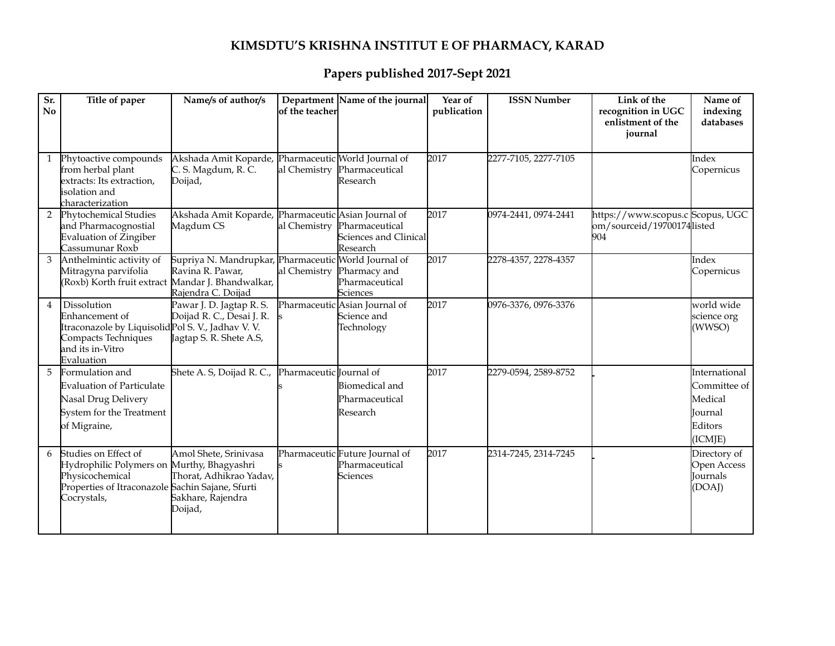## **KIMSDTU'S KRISHNA INSTITUT E OF PHARMACY, KARAD**

## **Papers published 2017-Sept 2021**

| Sr.<br>$\mathbf{N}\mathbf{0}$ | Title of paper                                                                                                                                           | Name/s of author/s                                                                             | lof the teacherl        | Department Name of the journal                                      | Year of<br>publication | <b>ISSN Number</b>   | Link of the<br>recognition in UGC<br>enlistment of the<br>iournal     | Name of<br>indexing<br>databases                                          |
|-------------------------------|----------------------------------------------------------------------------------------------------------------------------------------------------------|------------------------------------------------------------------------------------------------|-------------------------|---------------------------------------------------------------------|------------------------|----------------------|-----------------------------------------------------------------------|---------------------------------------------------------------------------|
| $\mathbf{1}$                  | Phytoactive compounds<br>from herbal plant<br>extracts: Its extraction,<br>isolation and<br>characterization                                             | Akshada Amit Koparde, Pharmaceutic World Journal of<br>C. S. Magdum, R. C.<br>Doijad,          | al Chemistry            | Pharmaceutical<br>Research                                          | 2017                   | 2277-7105, 2277-7105 |                                                                       | Index<br>Copernicus                                                       |
| $\overline{2}$                | Phytochemical Studies<br>and Pharmacognostial<br>Evaluation of Zingiber<br>Cassumunar Roxb                                                               | Akshada Amit Koparde, Pharmaceutic Asian Journal of<br>Magdum CS                               | al Chemistry            | Pharmaceutical<br>Sciences and Clinical<br>Research                 | 2017                   | 0974-2441, 0974-2441 | https://www.scopus.c Scopus, UGC<br>om/sourceid/19700174listed<br>904 |                                                                           |
| 3                             | Anthelmintic activity of<br>Mitragyna parvifolia<br>(Roxb) Korth fruit extract Mandar J. Bhandwalkar,                                                    | Supriya N. Mandrupkar, Pharmaceutic World Journal of<br>Ravina R. Pawar,<br>Rajendra C. Doijad | al Chemistry            | Pharmacy and<br>Pharmaceutical<br><b>Sciences</b>                   | 2017                   | 2278-4357, 2278-4357 |                                                                       | Index<br>Copernicus                                                       |
| $\overline{4}$                | Dissolution<br>Enhancement of<br>Itraconazole by Liquisolid Pol S. V., Jadhav V. V.<br>Compacts Techniques<br>and its in-Vitro<br>Evaluation             | Pawar J. D. Jagtap R. S.<br>Doijad R. C., Desai J. R.<br>Jagtap S. R. Shete A.S,               |                         | Pharmaceutic Asian Journal of<br>Science and<br>Technology          | 2017                   | 0976-3376, 0976-3376 |                                                                       | world wide<br>science org<br>(WWSO)                                       |
| 5                             | Formulation and<br><b>Evaluation of Particulate</b><br>Nasal Drug Delivery<br>System for the Treatment<br>of Migraine,                                   | Shete A. S, Doijad R. C.,                                                                      | Pharmaceutic Journal of | <b>Biomedical</b> and<br>Pharmaceutical<br>Research                 | 2017                   | 2279-0594, 2589-8752 |                                                                       | International<br>Committee of<br>Medical<br>Iournal<br>Editors<br>(ICMJE) |
| 6                             | Studies on Effect of<br>Hydrophilic Polymers on Murthy, Bhagyashri<br>Physicochemical<br>Properties of Itraconazole Sachin Sajane, Sfurti<br>Cocrystals, | Amol Shete, Srinivasa<br>Thorat, Adhikrao Yadav,<br>Sakhare, Rajendra<br>Doijad,               |                         | Pharmaceutic Future Journal of<br>Pharmaceutical<br><b>Sciences</b> | 2017                   | 2314-7245, 2314-7245 |                                                                       | Directory of<br>Open Access<br>Journals<br>(DOAJ)                         |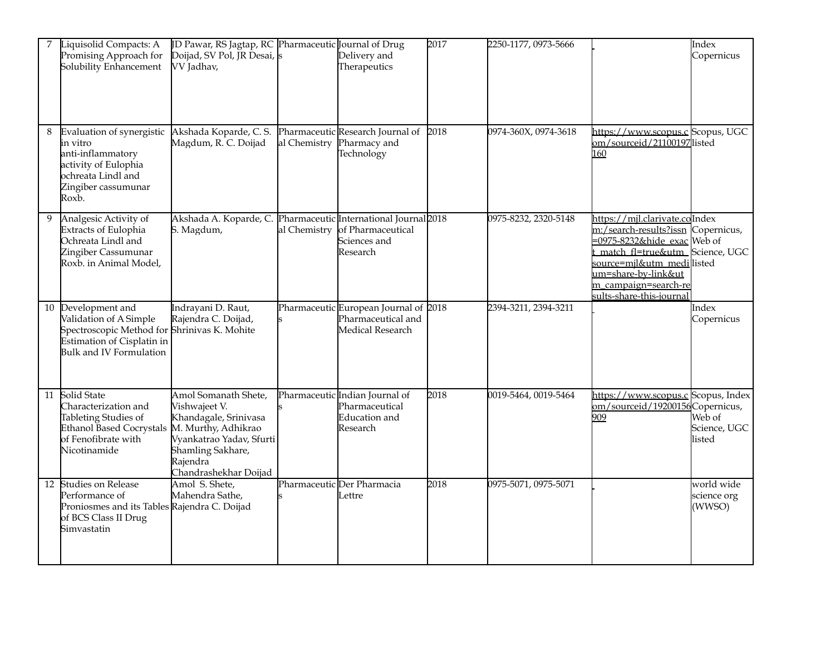| 7  | Liquisolid Compacts: A<br>Promising Approach for<br>Solubility Enhancement                                                                                | JD Pawar, RS Jagtap, RC Pharmaceutic Journal of Drug<br>Doijad, SV Pol, JR Desai, s<br>VV Jadhav,                                                                           |              | Delivery and<br>Therapeutics                                                             | 2017 | 2250-1177, 0973-5666 |                                                                                                                                                                                                                                         | Index<br>Copernicus                 |
|----|-----------------------------------------------------------------------------------------------------------------------------------------------------------|-----------------------------------------------------------------------------------------------------------------------------------------------------------------------------|--------------|------------------------------------------------------------------------------------------|------|----------------------|-----------------------------------------------------------------------------------------------------------------------------------------------------------------------------------------------------------------------------------------|-------------------------------------|
| 8  | Evaluation of synergistic<br>in vitro<br>anti-inflammatory<br>activity of Eulophia<br>ochreata Lindl and<br>Zingiber cassumunar<br>Roxb.                  | Akshada Koparde, C. S.<br>Magdum, R. C. Doijad                                                                                                                              | al Chemistry | Pharmaceutic Research Journal of<br>Pharmacy and<br>Technology                           | 2018 | 0974-360X, 0974-3618 | https://www.scopus.c Scopus, UGC<br>om/sourceid/21100197listed<br>160                                                                                                                                                                   |                                     |
| 9  | Analgesic Activity of<br><b>Extracts of Eulophia</b><br>Ochreata Lindl and<br>Zingiber Cassumunar<br>Roxb. in Animal Model,                               | Akshada A. Koparde, C.<br>S. Magdum,                                                                                                                                        | al Chemistry | Pharmaceutic International Journal 2018<br>of Pharmaceutical<br>Sciences and<br>Research |      | 0975-8232, 2320-5148 | https://mjl.clarivate.colIndex<br>m:/search-results?issn<br>$=0975 - 8232$ &hide exac Web of<br>match fl=true&utm_Science, UGC<br>source=mjl&utm_medi listed<br>um=share-by-link&ut<br>m campaign=search-re<br>sults-share-this-journal | Copernicus,                         |
| 10 | Development and<br>Validation of A Simple<br>Spectroscopic Method for Shrinivas K. Mohite<br>Estimation of Cisplatin in<br><b>Bulk and IV Formulation</b> | Indrayani D. Raut,<br>Rajendra C. Doijad,                                                                                                                                   |              | Pharmaceutic European Journal of 2018<br>Pharmaceutical and<br>Medical Research          |      | 2394-3211, 2394-3211 |                                                                                                                                                                                                                                         | Index<br>Copernicus                 |
|    | 11 Solid State<br>Characterization and<br>Tableting Studies of<br><b>Ethanol Based Cocrystals</b><br>of Fenofibrate with<br>Nicotinamide                  | Amol Somanath Shete,<br>Vishwajeet V.<br>Khandagale, Srinivasa<br>M. Murthy, Adhikrao<br>Vyankatrao Yadav, Sfurti<br>Shamling Sakhare,<br>Rajendra<br>Chandrashekhar Doijad |              | Pharmaceutic Indian Journal of<br>Pharmaceutical<br>Education and<br>Research            | 2018 | 0019-5464, 0019-5464 | https://www.scopus.c Scopus, Index<br>om/sourceid/19200156Copernicus,<br>909                                                                                                                                                            | Web of<br>Science, UGC<br>listed    |
|    | 12 Studies on Release<br>Performance of<br>Proniosmes and its Tables Rajendra C. Doijad<br>of BCS Class II Drug<br>Simvastatin                            | Amol S. Shete,<br>Mahendra Sathe,                                                                                                                                           |              | Pharmaceutic Der Pharmacia<br>Lettre                                                     | 2018 | 0975-5071, 0975-5071 |                                                                                                                                                                                                                                         | world wide<br>science org<br>(WWSO) |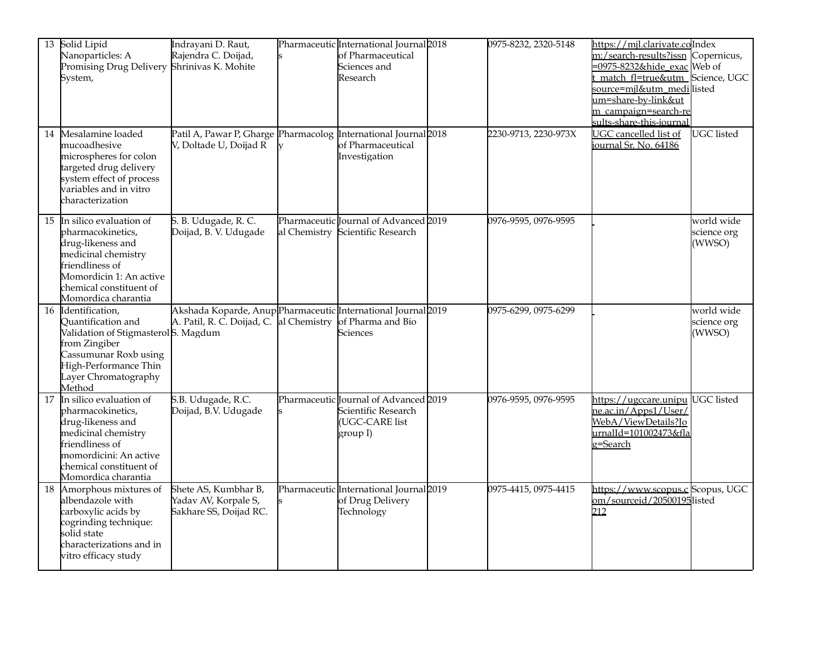|    | 13 Solid Lipid<br>Nanoparticles: A<br>Promising Drug Delivery Shrinivas K. Mohite<br>System,                                                                                             | Indrayani D. Raut,<br>Rajendra C. Doijad,                                                                |    | Pharmaceutic International Journal 2018<br>of Pharmaceutical<br>Sciences and<br>Research   | 0975-8232, 2320-5148 | https://mjl.clarivate.colIndex<br>m:/search-results?issn Copernicus,<br>=0975-8232&hide_exac Web of<br>match fl=true&utm_Science, UGC<br>source=mjl&utm_medilisted<br>um=share-by-link&ut<br>m campaign=search-re<br>sults-share-this-journal |                                     |
|----|------------------------------------------------------------------------------------------------------------------------------------------------------------------------------------------|----------------------------------------------------------------------------------------------------------|----|--------------------------------------------------------------------------------------------|----------------------|-----------------------------------------------------------------------------------------------------------------------------------------------------------------------------------------------------------------------------------------------|-------------------------------------|
| 14 | Mesalamine loaded<br>mucoadhesive<br>microspheres for colon<br>targeted drug delivery<br>system effect of process<br>variables and in vitro<br>characterization                          | Patil A, Pawar P, Gharge Pharmacolog International Journal 2018<br>V, Doltade U, Doijad R                | lv | of Pharmaceutical<br>Investigation                                                         | 2230-9713, 2230-973X | UGC cancelled list of<br>journal Sr. No. 64186                                                                                                                                                                                                | UGC listed                          |
| 15 | In silico evaluation of<br>pharmacokinetics,<br>drug-likeness and<br>medicinal chemistry<br>friendliness of<br>Momordicin 1: An active<br>chemical constituent of<br>Momordica charantia | S. B. Udugade, R. C.<br>Doijad, B. V. Udugade                                                            |    | Pharmaceutic Journal of Advanced 2019<br>al Chemistry Scientific Research                  | 0976-9595, 0976-9595 |                                                                                                                                                                                                                                               | world wide<br>science org<br>(WWSO) |
|    | 16 Identification,<br>Quantification and<br>Validation of StigmasterolS. Magdum<br>from Zingiber<br>Cassumunar Roxb using<br>High-Performance Thin<br>Layer Chromatography<br>Method     | Akshada Koparde, Anup Pharmaceutic International Journal 2019<br>A. Patil, R. C. Doijad, C. al Chemistry |    | of Pharma and Bio<br>Sciences                                                              | 0975-6299, 0975-6299 |                                                                                                                                                                                                                                               | world wide<br>science org<br>(WWSO) |
| 17 | In silico evaluation of<br>pharmacokinetics,<br>drug-likeness and<br>medicinal chemistry<br>friendliness of<br>momordicini: An active<br>chemical constituent of<br>Momordica charantia  | S.B. Udugade, R.C.<br>Doijad, B.V. Udugade                                                               |    | Pharmaceutic Journal of Advanced 2019<br>Scientific Research<br>(UGC-CARE list<br>group I) | 0976-9595, 0976-9595 | https://ugccare.unipu UGC listed<br>ne.ac.in/Apps1/User/<br>WebA/ViewDetails?Jo<br>urnalId=101002473&fla<br>g=Search                                                                                                                          |                                     |
| 18 | Amorphous mixtures of<br>albendazole with<br>carboxylic acids by<br>cogrinding technique:<br>solid state<br>characterizations and in<br>vitro efficacy study                             | Shete AS, Kumbhar B,<br>Yadav AV, Korpale S,<br>Sakhare SS, Doijad RC.                                   |    | Pharmaceutic International Journal 2019<br>of Drug Delivery<br>Technology                  | 0975-4415, 0975-4415 | https://www.scopus.c Scopus, UGC<br>om/sourceid/20500195listed<br>212                                                                                                                                                                         |                                     |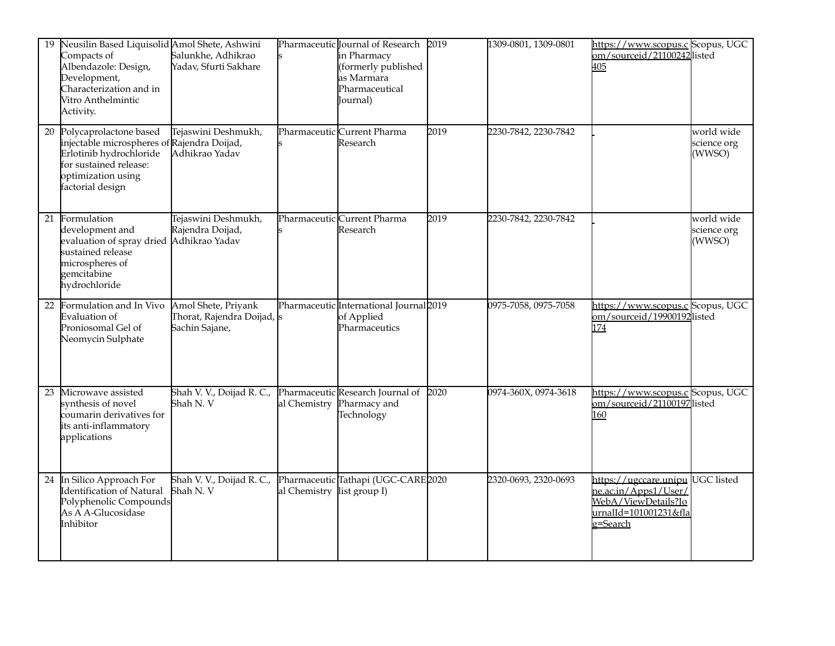| 19 | Neusilin Based Liquisolid Amol Shete, Ashwini<br>Compacts of<br>Albendazole: Design,<br>Development,<br>Characterization and in<br>Vitro Anthelmintic<br>Activity.   | Salunkhe, Adhikrao<br>Yadav, Sfurti Sakhare                                 |              | Pharmaceutic Journal of Research<br>in Pharmacy<br>(formerly published<br>as Marmara<br>Pharmaceutical<br>(Journal | 2019 | 1309-0801, 1309-0801 | https://www.scopus.c Scopus, UGC<br>om/sourceid/21100242listed<br>405 |                                     |
|----|----------------------------------------------------------------------------------------------------------------------------------------------------------------------|-----------------------------------------------------------------------------|--------------|--------------------------------------------------------------------------------------------------------------------|------|----------------------|-----------------------------------------------------------------------|-------------------------------------|
| 20 | Polycaprolactone based<br>injectable microspheres of Rajendra Doijad,<br>Erlotinib hydrochloride<br>for sustained release:<br>optimization using<br>factorial design | Tejaswini Deshmukh,<br>Adhikrao Yadav                                       |              | Pharmaceutic Current Pharma<br>Research                                                                            | 2019 | 2230-7842, 2230-7842 |                                                                       | world wide<br>science org<br>(WWSO) |
| 21 | Formulation<br>development and<br>evaluation of spray dried Adhikrao Yadav<br>sustained release<br>microspheres of<br>gemcitabine<br>hydrochloride                   | Tejaswini Deshmukh,<br>Rajendra Doijad,                                     |              | Pharmaceutic Current Pharma<br>Research                                                                            | 2019 | 2230-7842, 2230-7842 |                                                                       | world wide<br>science org<br>(WWSO) |
| 22 | Formulation and In Vivo<br>Evaluation of<br>Proniosomal Gel of<br>Neomycin Sulphate                                                                                  | Amol Shete, Priyank<br>Thorat, Rajendra Doijad, s<br>Sachin Sajane,         |              | Pharmaceutic International Journal 2019<br>of Applied<br>Pharmaceutics                                             |      | 0975-7058, 0975-7058 | https://www.scopus.c Scopus, UGC<br>om/sourceid/19900192listed<br>174 |                                     |
| 23 |                                                                                                                                                                      |                                                                             |              |                                                                                                                    |      |                      |                                                                       |                                     |
|    | Microwave assisted<br>synthesis of novel<br>coumarin derivatives for<br>its anti-inflammatory<br>applications                                                        | Shah V. V., Doijad R. C., Pharmaceutic Research Journal of 2020<br>Shah N.V | al Chemistry | Pharmacy and<br>Technology                                                                                         |      | 0974-360X, 0974-3618 | https://www.scopus.c Scopus, UGC<br>om/sourceid/21100197listed<br>160 |                                     |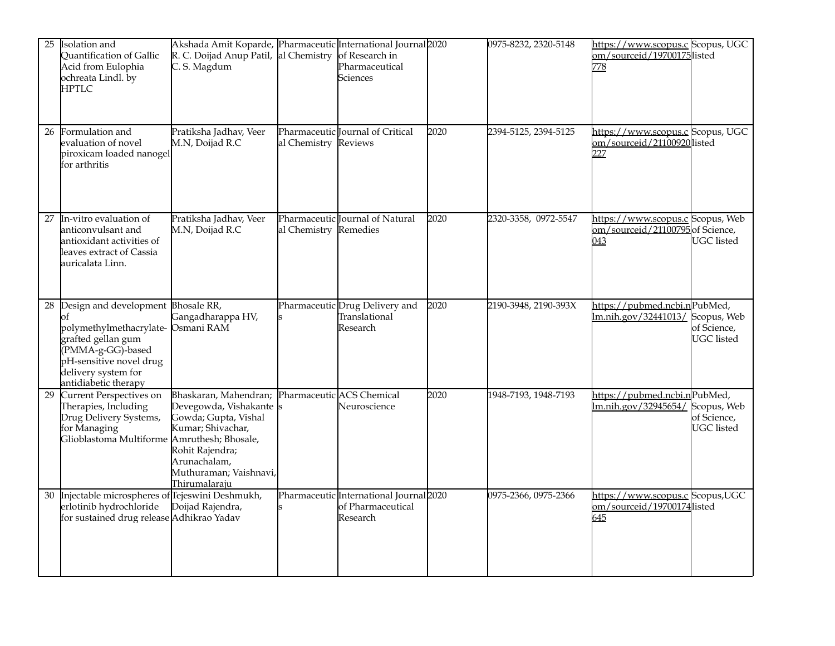| 25 | Isolation and<br>Quantification of Gallic<br>Acid from Eulophia<br>ochreata Lindl. by<br>HPTLC                                                                                                      | Akshada Amit Koparde, Pharmaceutic International Journal 2020<br>R. C. Doijad Anup Patil, al Chemistry of Research in<br>C. S. Magdum                                                                 |                       | Pharmaceutical<br><b>Sciences</b>                                        |      | 0975-8232, 2320-5148 | https://www.scopus.c Scopus, UGC<br>om/sourceid/19700175listed<br>778       |                                                 |
|----|-----------------------------------------------------------------------------------------------------------------------------------------------------------------------------------------------------|-------------------------------------------------------------------------------------------------------------------------------------------------------------------------------------------------------|-----------------------|--------------------------------------------------------------------------|------|----------------------|-----------------------------------------------------------------------------|-------------------------------------------------|
| 26 | Formulation and<br>evaluation of novel<br>piroxicam loaded nanogel<br>for arthritis                                                                                                                 | Pratiksha Jadhav, Veer<br>M.N, Doijad R.C                                                                                                                                                             | al Chemistry          | Pharmaceutic lournal of Critical<br>Reviews                              | 2020 | 2394-5125, 2394-5125 | https://www.scopus.c Scopus, UGC<br>om/sourceid/21100920listed<br>227       |                                                 |
| 27 | In-vitro evaluation of<br>anticonvulsant and<br>antioxidant activities of<br>leaves extract of Cassia<br>auricalata Linn.                                                                           | Pratiksha Jadhav, Veer<br>M.N, Doijad R.C                                                                                                                                                             | al Chemistry Remedies | Pharmaceutic Journal of Natural                                          | 2020 | 2320-3358, 0972-5547 | https://www.scopus.c Scopus, Web<br>om/sourceid/21100795 of Science,<br>043 | <b>UGC</b> listed                               |
| 28 | Design and development Bhosale RR,<br>эf<br>polymethylmethacrylate- Osmani RAM<br>grafted gellan gum<br>(PMMA-g-GG)-based<br>pH-sensitive novel drug<br>delivery system for<br>antidiabetic therapy | Gangadharappa HV,                                                                                                                                                                                     |                       | Pharmaceutic Drug Delivery and<br>Translational<br>Research              | 2020 | 2190-3948, 2190-393X | https://pubmed.ncbi.nPubMed,<br>lm.nih.gov/32441013/ Scopus, Web            | of Science,<br><b>UGC</b> listed                |
| 29 | Current Perspectives on<br>Therapies, Including<br>Drug Delivery Systems,<br>for Managing<br>Glioblastoma Multiforme Amruthesh; Bhosale,                                                            | Bhaskaran, Mahendran; Pharmaceutic ACS Chemical<br>Devegowda, Vishakante s<br>Gowda; Gupta, Vishal<br>Kumar; Shivachar,<br>Rohit Rajendra;<br>Arunachalam,<br>Muthuraman; Vaishnavi,<br>Thirumalaraju |                       | Neuroscience                                                             | 2020 | 1948-7193, 1948-7193 | https://pubmed.ncbi.nPubMed,<br>lm.nih.gov/32945654/                        | Scopus, Web<br>of Science,<br><b>UGC</b> listed |
| 30 | Injectable microspheres of Tejeswini Deshmukh,<br>erlotinib hydrochloride<br>for sustained drug release Adhikrao Yadav                                                                              | Doijad Rajendra,                                                                                                                                                                                      |                       | Pharmaceutic International Journal 2020<br>of Pharmaceutical<br>Research |      | 0975-2366, 0975-2366 | https://www.scopus.c Scopus,UGC<br>om/sourceid/19700174listed<br>645        |                                                 |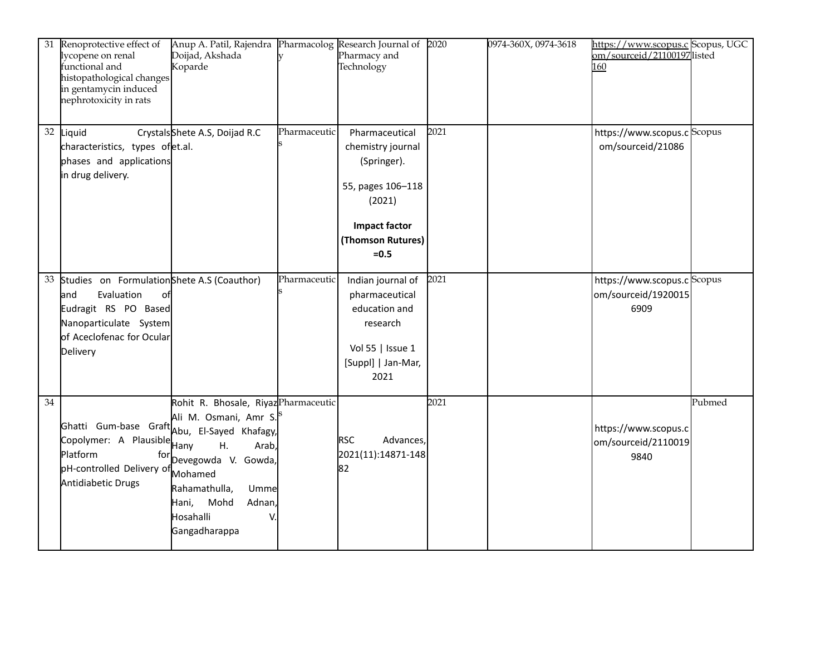| 31              | Renoprotective effect of<br>lycopene on renal<br>functional and<br>histopathological changes<br>in gentamycin induced<br>nephrotoxicity in rats                  | Anup A. Patil, Rajendra Pharmacolog Research Journal of<br>Doijad, Akshada<br>Koparde                                                                                                                                          |              | Pharmacy and<br>Technology                                                                                                                | 2020 | 0974-360X, 0974-3618 | https://www.scopus.c Scopus, UGC<br>om/sourceid/21100197listed<br>160 |        |
|-----------------|------------------------------------------------------------------------------------------------------------------------------------------------------------------|--------------------------------------------------------------------------------------------------------------------------------------------------------------------------------------------------------------------------------|--------------|-------------------------------------------------------------------------------------------------------------------------------------------|------|----------------------|-----------------------------------------------------------------------|--------|
|                 | 32 Liquid<br>characteristics, types ofet.al.<br>phases and applications<br>in drug delivery.                                                                     | CrystalsShete A.S, Doijad R.C                                                                                                                                                                                                  | Pharmaceutic | Pharmaceutical<br>chemistry journal<br>(Springer).<br>55, pages 106-118<br>(2021)<br><b>Impact factor</b><br>(Thomson Rutures)<br>$= 0.5$ | 2021 |                      | https://www.scopus.c Scopus<br>om/sourceid/21086                      |        |
| 33              | Studies on FormulationShete A.S (Coauthor)<br>Evaluation<br>and<br>0f<br>Eudragit RS PO Based<br>Nanoparticulate System<br>of Aceclofenac for Ocular<br>Delivery |                                                                                                                                                                                                                                | Pharmaceutic | Indian journal of<br>pharmaceutical<br>education and<br>research<br>Vol 55   Issue 1<br>[Suppl]   Jan-Mar,<br>2021                        | 2021 |                      | https://www.scopus.c Scopus<br>om/sourceid/1920015<br>6909            |        |
| $\overline{34}$ | Ghatti Gum-base Graft Abu, El-Sayed Khafagy,<br>Copolymer: A Plausible Hany<br>Platform<br>for<br>pH-controlled Delivery of<br>Antidiabetic Drugs                | Rohit R. Bhosale, Riyaz Pharmaceutic<br>Ali M. Osmani, Amr S. <sup>S</sup><br>H <sub>1</sub><br>Arab,<br>Devegowda V. Gowda,<br>Mohamed<br>Rahamathulla,<br>Umme<br>Adnan,<br>Hani,<br>Mohd<br>Hosahalli<br>V<br>Gangadharappa |              | <b>RSC</b><br>Advances,<br>2021(11):14871-148<br>82                                                                                       | 2021 |                      | https://www.scopus.c<br>om/sourceid/2110019<br>9840                   | Pubmed |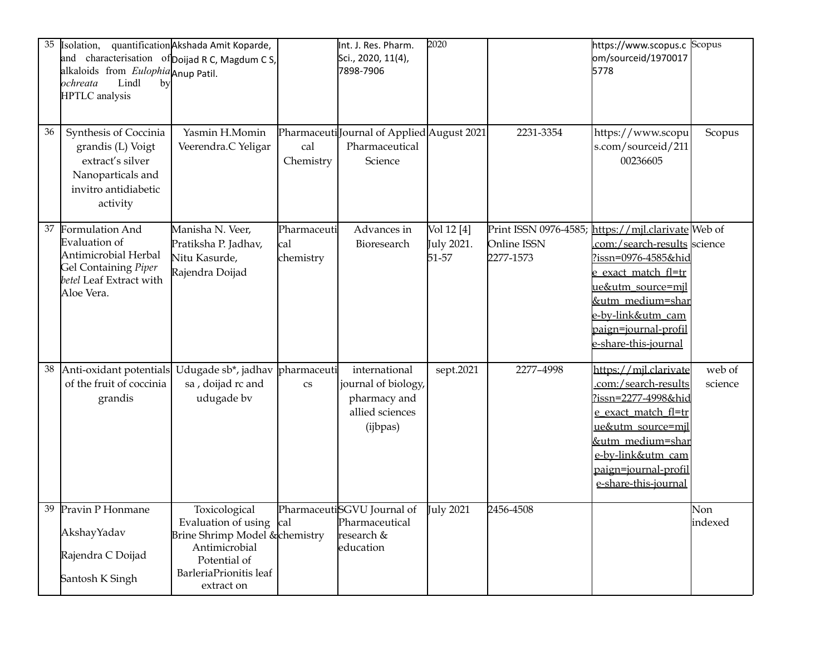| 35 | Isolation,<br>and characterisation of Doijad R C, Magdum C S,<br>alkaloids from Eulophia Anup Patil.<br>Lindl<br>ochreata<br>by<br><b>HPTLC</b> analysis | quantification Akshada Amit Koparde,                                                                                                                |                                 | Int. J. Res. Pharm.<br>Sci., 2020, 11(4),<br>7898-7906                              | 2020                              |                                                   | https://www.scopus.c<br>om/sourceid/1970017<br>5778                                                                                                                                                                                 | Scopus            |
|----|----------------------------------------------------------------------------------------------------------------------------------------------------------|-----------------------------------------------------------------------------------------------------------------------------------------------------|---------------------------------|-------------------------------------------------------------------------------------|-----------------------------------|---------------------------------------------------|-------------------------------------------------------------------------------------------------------------------------------------------------------------------------------------------------------------------------------------|-------------------|
| 36 | Synthesis of Coccinia<br>grandis (L) Voigt<br>extract's silver<br>Nanoparticals and<br>invitro antidiabetic<br>activity                                  | Yasmin H.Momin<br>Veerendra.C Yeligar                                                                                                               | cal<br>Chemistry                | PharmaceutilJournal of Applied August 2021<br>Pharmaceutical<br>Science             |                                   | 2231-3354                                         | https://www.scopu<br>s.com/sourceid/211<br>00236605                                                                                                                                                                                 | Scopus            |
| 37 | Formulation And<br>Evaluation of<br>Antimicrobial Herbal<br>Gel Containing Piper<br>betel Leaf Extract with<br>Aloe Vera.                                | Manisha N. Veer,<br>Pratiksha P. Jadhav,<br>Nitu Kasurde,<br>Rajendra Doijad                                                                        | Pharmaceuti<br>cal<br>chemistry | Advances in<br>Bioresearch                                                          | Vol 12 [4]<br>July 2021.<br>51-57 | Print ISSN 0976-4585;<br>Online ISSN<br>2277-1573 | https://mjl.clarivate Web of<br>.com:/search-results science<br><u>?issn=0976-4585&amp;hid</u><br>e exact match fl=tr<br>ue&utm_source=mil<br>&utm medium=shar<br>e-by-link&utm cam<br>paign=journal-profil<br>e-share-this-journal |                   |
| 38 | Anti-oxidant potentials<br>of the fruit of coccinia<br>grandis                                                                                           | Udugade sb*, jadhav<br>sa, doijad rc and<br>udugade bv                                                                                              | pharmaceuti<br>$\rm{c}\rm{s}$   | international<br>journal of biology,<br>pharmacy and<br>allied sciences<br>(ijbpas) | sept.2021                         | 2277-4998                                         | https://mil.clarivate<br>.com:/search-results<br>?issn=2277-4998&hid<br>e exact match fl=tr<br>ue&utm_source=mil<br>&utm_medium=shar<br>e-by-link&utm_cam<br>paign=journal-profil<br>e-share-this-journal                           | web of<br>science |
|    | 39 Pravin P Honmane<br>AkshayYadav<br>Rajendra C Doijad<br>Santosh K Singh                                                                               | Toxicological<br>Evaluation of using cal<br>Brine Shrimp Model & chemistry<br>Antimicrobial<br>Potential of<br>BarleriaPrionitis leaf<br>extract on |                                 | PharmaceutiSGVU Journal of July 2021<br>Pharmaceutical<br>research &<br>education   |                                   | 2456-4508                                         |                                                                                                                                                                                                                                     | Non<br>indexed    |